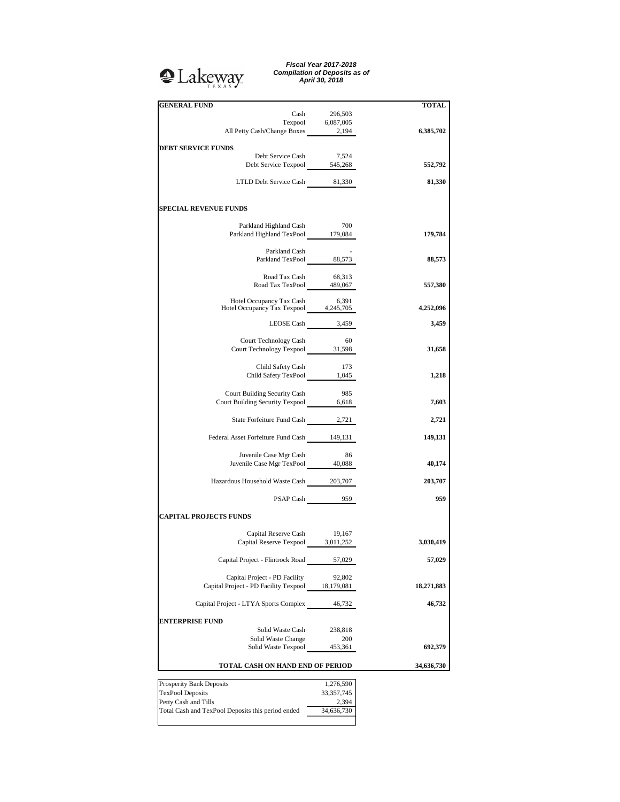## **Q**Lakeway

*Fiscal Year 2017-2018 Compilation of Deposits as of April 30, 2018*

| <b>GENERAL FUND</b>                                                               |                   | <b>TOTAL</b> |
|-----------------------------------------------------------------------------------|-------------------|--------------|
| Cash                                                                              | 296,503           |              |
|                                                                                   |                   |              |
| Texpool 6,087,005<br>All Petty Cash/Change Boxes 2,194                            |                   | 6,385,702    |
|                                                                                   |                   |              |
| <b>DEBT SERVICE FUNDS</b>                                                         |                   |              |
| Debt Service Cash                                                                 | 7,524             |              |
| Debt Service Texpool 545,268                                                      |                   | 552,792      |
| LTLD Debt Service Cash 81,330                                                     |                   | 81,330       |
|                                                                                   |                   |              |
| <b>SPECIAL REVENUE FUNDS</b>                                                      |                   |              |
|                                                                                   | 700               |              |
| Parkland Highland Cash<br>Parkland Highland TexPool 179,084                       |                   | 179,784      |
|                                                                                   |                   |              |
| Parkland Cash<br>Parkland TexPool 88,573                                          |                   |              |
|                                                                                   |                   | 88,573       |
|                                                                                   |                   |              |
| Road Tax Cash 68,313<br>Road Tax TexPool 489,067                                  |                   | 557,380      |
|                                                                                   |                   |              |
| Hotel Occupancy Tax Cash 6,391<br>Hotel Occupancy Tax Texpool 4,245,705           |                   |              |
|                                                                                   |                   | 4,252,096    |
|                                                                                   | LEOSE Cash 3,459  | 3,459        |
|                                                                                   |                   |              |
| Court Technology Cash                                                             | - 60              |              |
| Court Technology Texpool 31,598                                                   |                   | 31,658       |
|                                                                                   |                   |              |
| Child Safety Cash 173<br>Child Safety TexPool 1,045                               |                   | 1,218        |
|                                                                                   |                   |              |
| Court Building Security Cash                                                      | - 985             |              |
| Court Building Security Texpool 6,618                                             |                   | 7,603        |
|                                                                                   |                   |              |
| State Forfeiture Fund Cash 2,721                                                  |                   | 2,721        |
|                                                                                   |                   |              |
| Federal Asset Forfeiture Fund Cash 149,131                                        |                   | 149,131      |
| Juvenile Case Mgr Cash                                                            | - 86              |              |
| Juvenile Case Mgr TexPool 40,088                                                  |                   | 40,174       |
|                                                                                   |                   |              |
| Hazardous Household Waste Cash 203,707                                            |                   | 203,707      |
|                                                                                   |                   |              |
|                                                                                   | $PSAP$ Cash $959$ | 959          |
| <b>CAPITAL PROJECTS FUNDS</b>                                                     |                   |              |
|                                                                                   |                   |              |
| Capital Reserve Cash                                                              | 19,167            |              |
| Capital Reserve Texpool 3,011,252                                                 |                   | 3,030,419    |
|                                                                                   |                   |              |
| Capital Project - Flintrock Road                                                  | 57,029            | 57,029       |
|                                                                                   |                   |              |
| Capital Project - PD Facility<br>Capital Project - PD Facility Texpool 18,179,081 | 92,802            | 18,271,883   |
|                                                                                   |                   |              |
| Capital Project - LTYA Sports Complex                                             | 46,732            | 46,732       |
|                                                                                   |                   |              |
| <b>ENTERPRISE FUND</b>                                                            |                   |              |
| Solid Waste Cash                                                                  | 238,818           |              |
| Solid Waste Change<br>Solid Waste Texpool                                         | 200<br>453,361    | 692,379      |
|                                                                                   |                   |              |
| TOTAL CASH ON HAND END OF PERIOD                                                  |                   | 34,636,730   |
|                                                                                   |                   |              |
| Prosperity Bank Deposits                                                          | 1,276,590         |              |
| <b>TexPool Deposits</b>                                                           | 33, 357, 745      |              |
| Petty Cash and Tills                                                              | 2,394             |              |
| Total Cash and TexPool Deposits this period ended                                 | 34,636,730        |              |